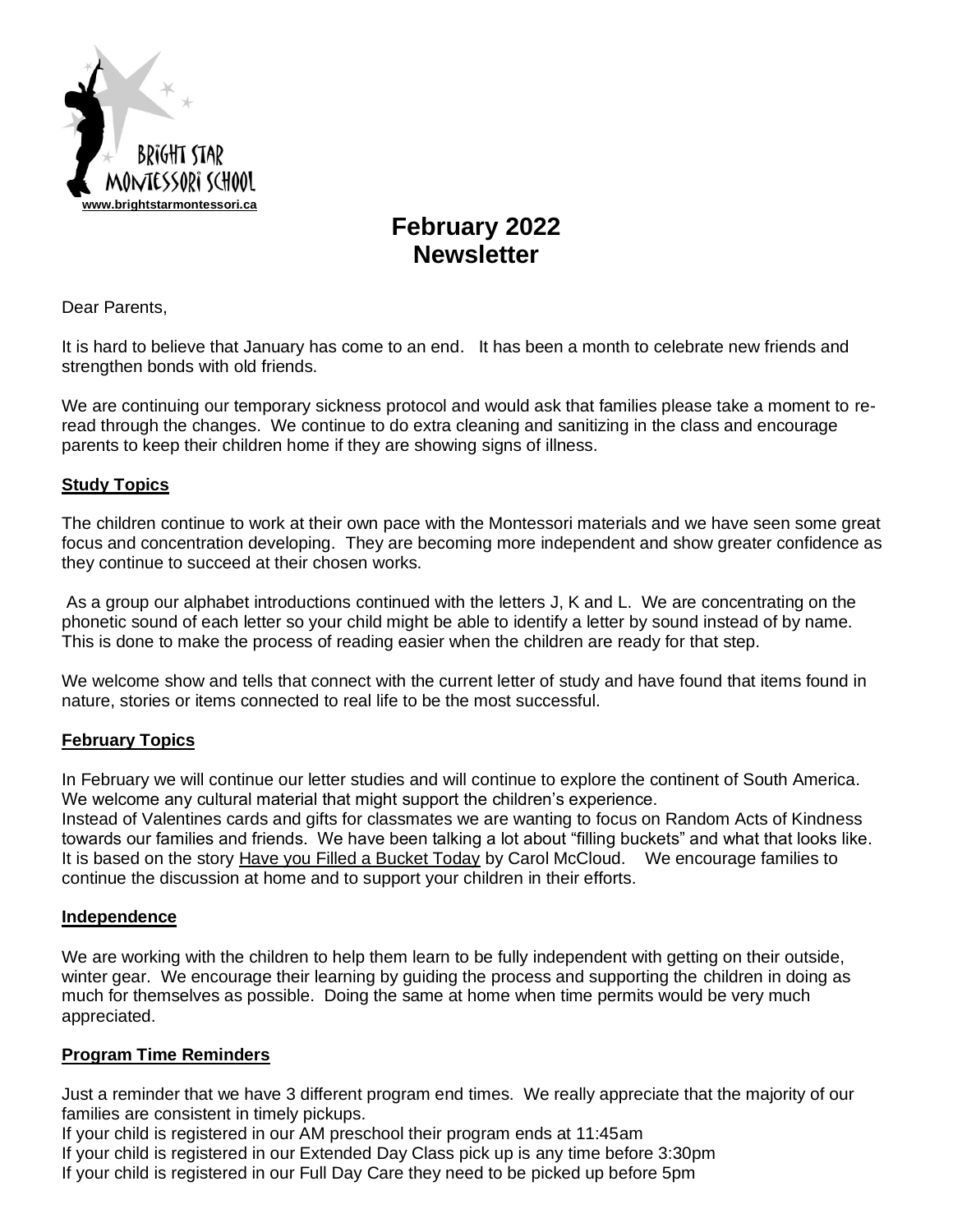

# **February 2022 Newsletter**

Dear Parents,

It is hard to believe that January has come to an end. It has been a month to celebrate new friends and strengthen bonds with old friends.

We are continuing our temporary sickness protocol and would ask that families please take a moment to reread through the changes. We continue to do extra cleaning and sanitizing in the class and encourage parents to keep their children home if they are showing signs of illness.

## **Study Topics**

The children continue to work at their own pace with the Montessori materials and we have seen some great focus and concentration developing. They are becoming more independent and show greater confidence as they continue to succeed at their chosen works.

As a group our alphabet introductions continued with the letters J, K and L. We are concentrating on the phonetic sound of each letter so your child might be able to identify a letter by sound instead of by name. This is done to make the process of reading easier when the children are ready for that step.

We welcome show and tells that connect with the current letter of study and have found that items found in nature, stories or items connected to real life to be the most successful.

## **February Topics**

In February we will continue our letter studies and will continue to explore the continent of South America. We welcome any cultural material that might support the children's experience.

Instead of Valentines cards and gifts for classmates we are wanting to focus on Random Acts of Kindness towards our families and friends. We have been talking a lot about "filling buckets" and what that looks like. It is based on the story Have you Filled a Bucket Today by Carol McCloud. We encourage families to continue the discussion at home and to support your children in their efforts.

## **Independence**

We are working with the children to help them learn to be fully independent with getting on their outside, winter gear. We encourage their learning by guiding the process and supporting the children in doing as much for themselves as possible. Doing the same at home when time permits would be very much appreciated.

## **Program Time Reminders**

Just a reminder that we have 3 different program end times. We really appreciate that the majority of our families are consistent in timely pickups.

If your child is registered in our AM preschool their program ends at 11:45am If your child is registered in our Extended Day Class pick up is any time before 3:30pm

If your child is registered in our Full Day Care they need to be picked up before 5pm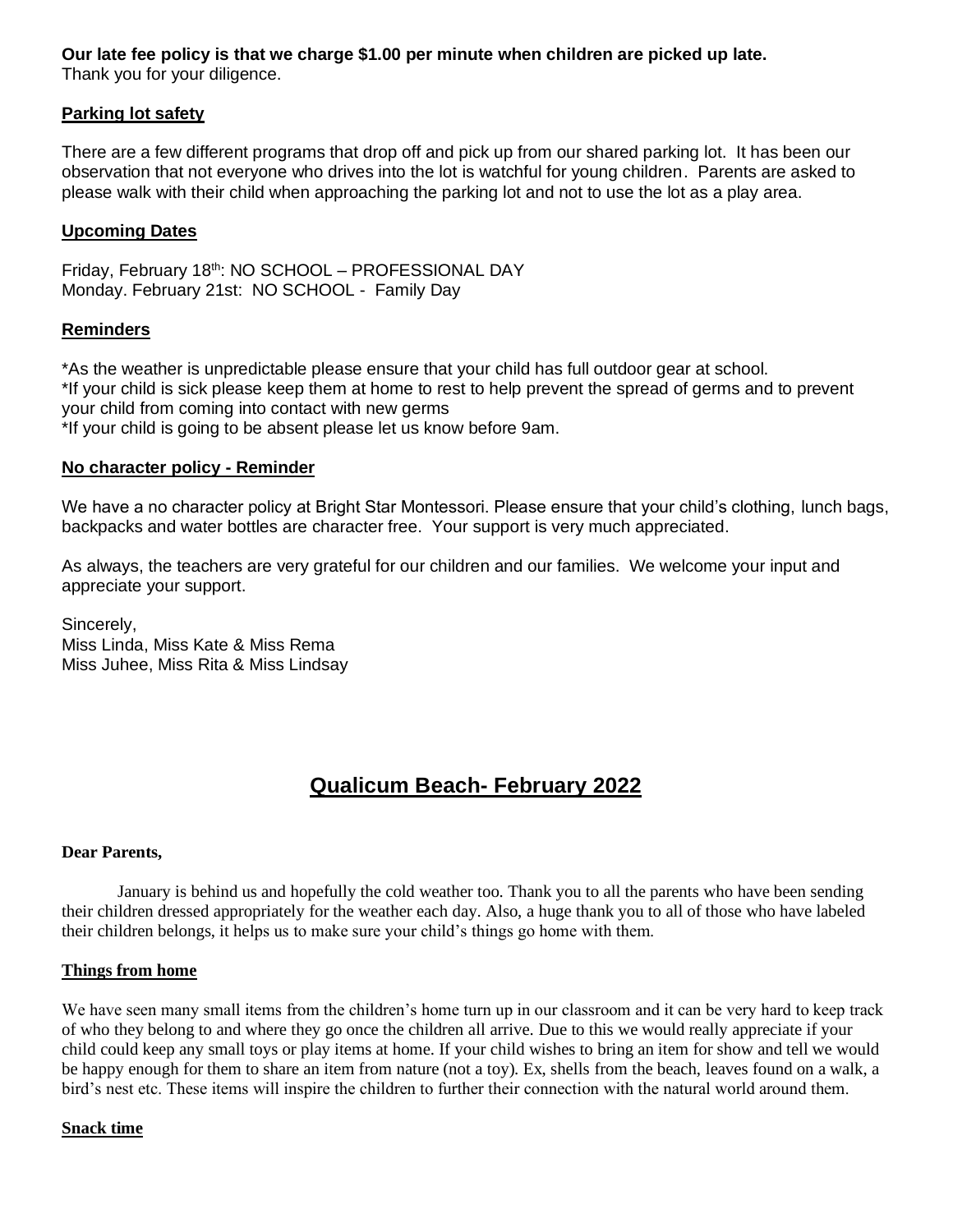## **Our late fee policy is that we charge \$1.00 per minute when children are picked up late.**

Thank you for your diligence.

#### **Parking lot safety**

There are a few different programs that drop off and pick up from our shared parking lot. It has been our observation that not everyone who drives into the lot is watchful for young children. Parents are asked to please walk with their child when approaching the parking lot and not to use the lot as a play area.

#### **Upcoming Dates**

Friday, February 18<sup>th</sup>: NO SCHOOL – PROFESSIONAL DAY Monday. February 21st: NO SCHOOL - Family Day

#### **Reminders**

\*As the weather is unpredictable please ensure that your child has full outdoor gear at school. \*If your child is sick please keep them at home to rest to help prevent the spread of germs and to prevent your child from coming into contact with new germs \*If your child is going to be absent please let us know before 9am.

#### **No character policy - Reminder**

We have a no character policy at Bright Star Montessori. Please ensure that your child's clothing, lunch bags, backpacks and water bottles are character free. Your support is very much appreciated.

As always, the teachers are very grateful for our children and our families. We welcome your input and appreciate your support.

Sincerely, Miss Linda, Miss Kate & Miss Rema Miss Juhee, Miss Rita & Miss Lindsay

## **Qualicum Beach- February 2022**

#### **Dear Parents,**

January is behind us and hopefully the cold weather too. Thank you to all the parents who have been sending their children dressed appropriately for the weather each day. Also, a huge thank you to all of those who have labeled their children belongs, it helps us to make sure your child's things go home with them.

#### **Things from home**

We have seen many small items from the children's home turn up in our classroom and it can be very hard to keep track of who they belong to and where they go once the children all arrive. Due to this we would really appreciate if your child could keep any small toys or play items at home. If your child wishes to bring an item for show and tell we would be happy enough for them to share an item from nature (not a toy). Ex, shells from the beach, leaves found on a walk, a bird's nest etc. These items will inspire the children to further their connection with the natural world around them.

#### **Snack time**